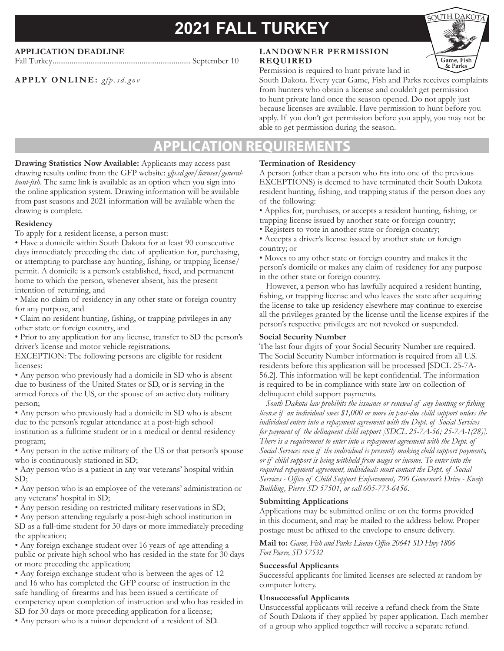# **2021 FALL TURKEY**

# **APPLICATION DEADLINE**

**APPLY ONLINE:** *gfp.sd.gov*

Fall Turkey......................................................................... September 10

# **LANDOWNER PERMISSION REQUIRED**



Permission is required to hunt private land in South Dakota. Every year Game, Fish and Parks receives complaints from hunters who obtain a license and couldn't get permission to hunt private land once the season opened. Do not apply just because licenses are available. Have permission to hunt before you apply. If you don't get permission before you apply, you may not be able to get permission during the season.

# **APPLICATION REQU**

**Drawing Statistics Now Available:** Applicants may access past drawing results online from the GFP website: *gfp.sd.gov/licenses/generalhunt-fish*. The same link is available as an option when you sign into the online application system. Drawing information will be available from past seasons and 2021 information will be available when the drawing is complete.

#### **Residency**

To apply for a resident license, a person must:

• Have a domicile within South Dakota for at least 90 consecutive days immediately preceding the date of application for, purchasing, or attempting to purchase any hunting, fishing, or trapping license/ permit. A domicile is a person's established, fixed, and permanent home to which the person, whenever absent, has the present intention of returning, and

• Make no claim of residency in any other state or foreign country for any purpose, and

• Claim no resident hunting, fishing, or trapping privileges in any other state or foreign country, and

• Prior to any application for any license, transfer to SD the person's driver's license and motor vehicle registrations.

EXCEPTION: The following persons are eligible for resident licenses:

• Any person who previously had a domicile in SD who is absent due to business of the United States or SD, or is serving in the armed forces of the US, or the spouse of an active duty military person;

• Any person who previously had a domicile in SD who is absent due to the person's regular attendance at a post-high school institution as a fulltime student or in a medical or dental residency program;

• Any person in the active military of the US or that person's spouse who is continuously stationed in SD;

• Any person who is a patient in any war veterans' hospital within SD;

• Any person who is an employee of the veterans' administration or any veterans' hospital in SD;

• Any person residing on restricted military reservations in SD;

• Any person attending regularly a post-high school institution in SD as a full-time student for 30 days or more immediately preceding the application;

• Any foreign exchange student over 16 years of age attending a public or private high school who has resided in the state for 30 days or more preceding the application;

• Any foreign exchange student who is between the ages of 12 and 16 who has completed the GFP course of instruction in the safe handling of firearms and has been issued a certificate of competency upon completion of instruction and who has resided in SD for 30 days or more preceding application for a license;

• Any person who is a minor dependent of a resident of SD.

# **Termination of Residency**

A person (other than a person who fits into one of the previous EXCEPTIONS) is deemed to have terminated their South Dakota resident hunting, fishing, and trapping status if the person does any of the following:

• Applies for, purchases, or accepts a resident hunting, fishing, or trapping license issued by another state or foreign country;

• Registers to vote in another state or foreign country;

• Accepts a driver's license issued by another state or foreign country; or

• Moves to any other state or foreign country and makes it the person's domicile or makes any claim of residency for any purpose in the other state or foreign country.

However, a person who has lawfully acquired a resident hunting, fishing, or trapping license and who leaves the state after acquiring the license to take up residency elsewhere may continue to exercise all the privileges granted by the license until the license expires if the person's respective privileges are not revoked or suspended.

# **Social Security Number**

The last four digits of your Social Security Number are required. The Social Security Number information is required from all U.S. residents before this application will be processed [SDCL 25-7A-56.2]. This information will be kept confidential. The information is required to be in compliance with state law on collection of delinquent child support payments.

 *South Dakota law prohibits the issuance or renewal of any hunting or fishing license if an individual owes \$1,000 or more in past-due child support unless the individual enters into a repayment agreement with the Dept. of Social Services for payment of the delinquent child support [SDCL 25-7A-56; 25-7A-1(28)]. There is a requirement to enter into a repayment agreement with the Dept. of Social Services even if the individual is presently making child support payments, or if child support is being withheld from wages or income. To enter into the required repayment agreement, individuals must contact the Dept. of Social Services - Office of Child Support Enforcement, 700 Governor's Drive - Kneip Building, Pierre SD 57501, or call 605-773-6456.*

# **Submitting Applications**

Applications may be submitted online or on the forms provided in this document, and may be mailed to the address below. Proper postage must be affixed to the envelope to ensure delivery.

**Mail to:** *Game, Fish and Parks License Office 20641 SD Hwy 1806 Fort Pierre, SD 57532*

# **Successful Applicants**

Successful applicants for limited licenses are selected at random by computer lottery.

# **Unsuccessful Applicants**

Unsuccessful applicants will receive a refund check from the State of South Dakota if they applied by paper application. Each member of a group who applied together will receive a separate refund.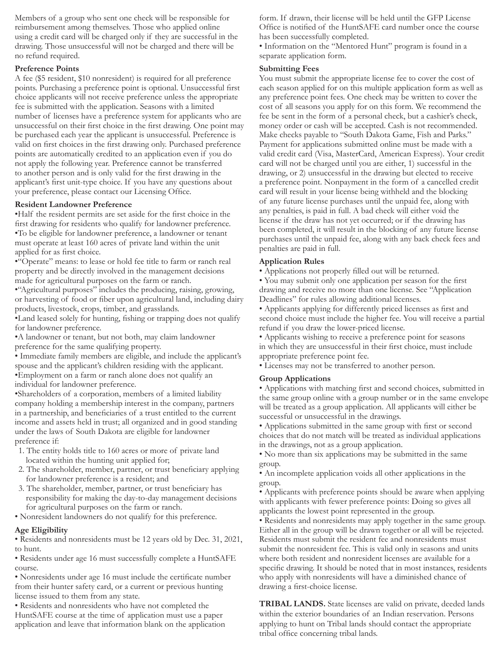Members of a group who sent one check will be responsible for reimbursement among themselves. Those who applied online using a credit card will be charged only if they are successful in the drawing. Those unsuccessful will not be charged and there will be no refund required.

### **Preference Points**

A fee (\$5 resident, \$10 nonresident) is required for all preference points. Purchasing a preference point is optional. Unsuccessful first choice applicants will not receive preference unless the appropriate fee is submitted with the application. Seasons with a limited number of licenses have a preference system for applicants who are unsuccessful on their first choice in the first drawing. One point may be purchased each year the applicant is unsuccessful. Preference is valid on first choices in the first drawing only. Purchased preference points are automatically credited to an application even if you do not apply the following year. Preference cannot be transferred to another person and is only valid for the first drawing in the applicant's first unit-type choice. If you have any questions about your preference, please contact our Licensing Office.

#### **Resident Landowner Preference**

•Half the resident permits are set aside for the first choice in the first drawing for residents who qualify for landowner preference. •To be eligible for landowner preference, a landowner or tenant must operate at least 160 acres of private land within the unit applied for as first choice.

•"Operate" means: to lease or hold fee title to farm or ranch real property and be directly involved in the management decisions made for agricultural purposes on the farm or ranch.

•"Agricultural purposes" includes the producing, raising, growing, or harvesting of food or fiber upon agricultural land, including dairy products, livestock, crops, timber, and grasslands.

•Land leased solely for hunting, fishing or trapping does not qualify for landowner preference.

•A landowner or tenant, but not both, may claim landowner preference for the same qualifying property.

• Immediate family members are eligible, and include the applicant's spouse and the applicant's children residing with the applicant. •Employment on a farm or ranch alone does not qualify an individual for landowner preference.

•Shareholders of a corporation, members of a limited liability company holding a membership interest in the company, partners in a partnership, and beneficiaries of a trust entitled to the current income and assets held in trust; all organized and in good standing under the laws of South Dakota are eligible for landowner preference if:

- 1. The entity holds title to 160 acres or more of private land located within the hunting unit applied for;
- 2. The shareholder, member, partner, or trust beneficiary applying for landowner preference is a resident; and
- 3. The shareholder, member, partner, or trust beneficiary has responsibility for making the day-to-day management decisions for agricultural purposes on the farm or ranch.
- Nonresident landowners do not qualify for this preference.

# **Age Eligibility**

• Residents and nonresidents must be 12 years old by Dec. 31, 2021, to hunt.

• Residents under age 16 must successfully complete a HuntSAFE course.

• Nonresidents under age 16 must include the certificate number from their hunter safety card, or a current or previous hunting license issued to them from any state.

• Residents and nonresidents who have not completed the HuntSAFE course at the time of application must use a paper application and leave that information blank on the application form. If drawn, their license will be held until the GFP License Office is notified of the HuntSAFE card number once the course has been successfully completed.

• Information on the "Mentored Hunt" program is found in a separate application form.

# **Submitting Fees**

You must submit the appropriate license fee to cover the cost of each season applied for on this multiple application form as well as any preference point fees. One check may be written to cover the cost of all seasons you apply for on this form. We recommend the fee be sent in the form of a personal check, but a cashier's check, money order or cash will be accepted. Cash is not recommended. Make checks payable to "South Dakota Game, Fish and Parks." Payment for applications submitted online must be made with a valid credit card (Visa, MasterCard, American Express). Your credit card will not be charged until you are either, 1) successful in the drawing, or 2) unsuccessful in the drawing but elected to receive a preference point. Nonpayment in the form of a cancelled credit card will result in your license being withheld and the blocking of any future license purchases until the unpaid fee, along with any penalties, is paid in full. A bad check will either void the license if the draw has not yet occurred; or if the drawing has been completed, it will result in the blocking of any future license purchases until the unpaid fee, along with any back check fees and penalties are paid in full.

### **Application Rules**

• Applications not properly filled out will be returned.

• You may submit only one application per season for the first drawing and receive no more than one license. See "Application Deadlines" for rules allowing additional licenses.

• Applicants applying for differently priced licenses as first and second choice must include the higher fee. You will receive a partial refund if you draw the lower-priced license.

• Applicants wishing to receive a preference point for seasons in which they are unsuccessful in their first choice, must include appropriate preference point fee.

• Licenses may not be transferred to another person.

# **Group Applications**

• Applications with matching first and second choices, submitted in the same group online with a group number or in the same envelope will be treated as a group application. All applicants will either be successful or unsuccessful in the drawings.

• Applications submitted in the same group with first or second choices that do not match will be treated as individual applications in the drawings, not as a group application.

• No more than six applications may be submitted in the same group.

• An incomplete application voids all other applications in the group.

• Applicants with preference points should be aware when applying with applicants with fewer preference points: Doing so gives all applicants the lowest point represented in the group.

• Residents and nonresidents may apply together in the same group. Either all in the group will be drawn together or all will be rejected. Residents must submit the resident fee and nonresidents must submit the nonresident fee. This is valid only in seasons and units where both resident and nonresident licenses are available for a specific drawing. It should be noted that in most instances, residents who apply with nonresidents will have a diminished chance of drawing a first-choice license.

**TRIBAL LANDS.** State licenses are valid on private, deeded lands within the exterior boundaries of an Indian reservation. Persons applying to hunt on Tribal lands should contact the appropriate tribal office concerning tribal lands.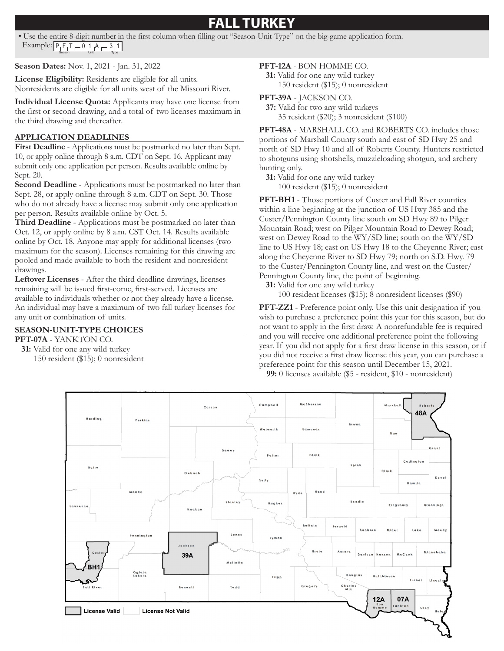# **FALL TURKEY**

• Use the entire 8-digit number in the first column when filling out "Season-Unit-Type" on the big-game application form. Example:  $\frac{\left[P_{\parallel}F_{\parallel}T_{\parallel}\right]-1}{\frac{\text{Searon}}{\text{Searon}}}$ 

**Season Dates:** Nov. 1, 2021 - Jan. 31, 2022

**License Eligibility:** Residents are eligible for all units. Nonresidents are eligible for all units west of the Missouri River.

**Individual License Quota:** Applicants may have one license from the first or second drawing, and a total of two licenses maximum in the third drawing and thereafter.

# **APPLICATION DEADLINES**

**First Deadline** - Applications must be postmarked no later than Sept. 10, or apply online through 8 a.m. CDT on Sept. 16. Applicant may submit only one application per person. Results available online by Sept. 20.

**Second Deadline** - Applications must be postmarked no later than Sept. 28, or apply online through 8 a.m. CDT on Sept. 30. Those who do not already have a license may submit only one application per person. Results available online by Oct. 5.

**Third Deadline** - Applications must be postmarked no later than Oct. 12, or apply online by 8 a.m. CST Oct. 14. Results available online by Oct. 18. Anyone may apply for additional licenses (two maximum for the season). Licenses remaining for this drawing are pooled and made available to both the resident and nonresident drawings.

**Leftover Licenses** - After the third deadline drawings, licenses remaining will be issued first-come, first-served. Licenses are available to individuals whether or not they already have a license. An individual may have a maximum of two fall turkey licenses for any unit or combination of units.

# **SEASON-UNIT-TYPE CHOICES**

**PFT-07A** - YANKTON CO.

**31:** Valid for one any wild turkey 150 resident (\$15); 0 nonresident

### **PFT-12A** - BON HOMME CO.

**31:** Valid for one any wild turkey 150 resident (\$15); 0 nonresident

#### **PFT-39A** - JACKSON CO.

**37:** Valid for two any wild turkeys 35 resident (\$20); 3 nonresident (\$100)

**PFT-48A** - MARSHALL CO. and ROBERTS CO. includes those portions of Marshall County south and east of SD Hwy 25 and north of SD Hwy 10 and all of Roberts County. Hunters restricted to shotguns using shotshells, muzzleloading shotgun, and archery hunting only.

**31:** Valid for one any wild turkey 100 resident (\$15); 0 nonresident

**PFT-BH1** - Those portions of Custer and Fall River counties within a line beginning at the junction of US Hwy 385 and the Custer/Pennington County line south on SD Hwy 89 to Pilger Mountain Road; west on Pilger Mountain Road to Dewey Road; west on Dewey Road to the WY/SD line; south on the WY/SD line to US Hwy 18; east on US Hwy 18 to the Cheyenne River; east along the Cheyenne River to SD Hwy 79; north on S.D. Hwy. 79 to the Custer/Pennington County line, and west on the Custer/ Pennington County line, the point of beginning.

**31:** Valid for one any wild turkey

100 resident licenses (\$15); 8 nonresident licenses (\$90)

**PFT-ZZ1** - Preference point only. Use this unit designation if you wish to purchase a preference point this year for this season, but do not want to apply in the first draw. A nonrefundable fee is required and you will receive one additional preference point the following year. If you did not apply for a first draw license in this season, or if you did not receive a first draw license this year, you can purchase a preference point for this season until December 15, 2021.

**99:** 0 licenses available (\$5 - resident, \$10 - nonresident)

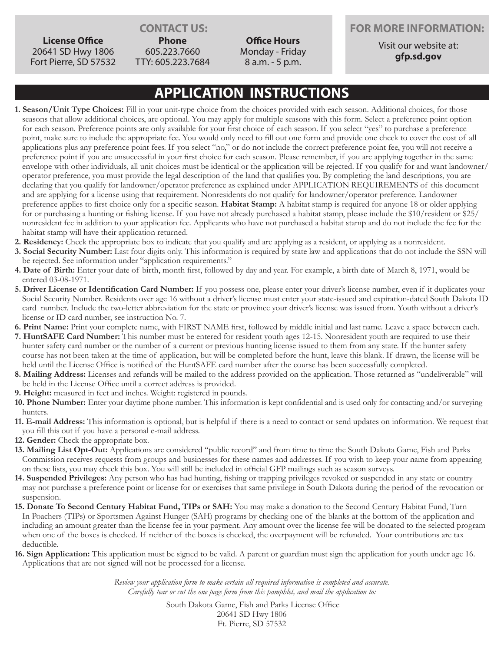**License Office** 20641 SD Hwy 1806 Fort Pierre, SD 57532

**Phone** 605.223.7660 TTY: 605.223.7684

**Office Hours** Monday - Friday 8 a.m. - 5 p.m.

**CONTACT US: FOR MORE INFORMATION:**

Visit our website at: **gfp.sd.gov**

# **APPLICATION INSTRUCTIONS**

- **1. Season/Unit Type Choices:** Fill in your unit-type choice from the choices provided with each season. Additional choices, for those seasons that allow additional choices, are optional. You may apply for multiple seasons with this form. Select a preference point option for each season. Preference points are only available for your first choice of each season. If you select "yes" to purchase a preference point, make sure to include the appropriate fee. You would only need to fill out one form and provide one check to cover the cost of all applications plus any preference point fees. If you select "no," or do not include the correct preference point fee, you will not receive a preference point if you are unsuccessful in your first choice for each season. Please remember, if you are applying together in the same envelope with other individuals, all unit choices must be identical or the application will be rejected. If you qualify for and want landowner/ operator preference, you must provide the legal description of the land that qualifies you. By completing the land descriptions, you are declaring that you qualify for landowner/operator preference as explained under APPLICATION REQUIREMENTS of this document and are applying for a license using that requirement. Nonresidents do not qualify for landowner/operator preference. Landowner preference applies to first choice only for a specific season. **Habitat Stamp:** A habitat stamp is required for anyone 18 or older applying for or purchasing a hunting or fishing license. If you have not already purchased a habitat stamp, please include the \$10/resident or \$25/ nonresident fee in addition to your application fee. Applicants who have not purchased a habitat stamp and do not include the fee for the habitat stamp will have their application returned.
- **2. Residency:** Check the appropriate box to indicate that you qualify and are applying as a resident, or applying as a nonresident.
- **3. Social Security Number:** Last four digits only. This information is required by state law and applications that do not include the SSN will be rejected. See information under "application requirements."
- **4. Date of Birth:** Enter your date of birth, month first, followed by day and year. For example, a birth date of March 8, 1971, would be entered 03-08-1971.
- **5. Driver License or Identification Card Number:** If you possess one, please enter your driver's license number, even if it duplicates your Social Security Number. Residents over age 16 without a driver's license must enter your state-issued and expiration-dated South Dakota ID card number. Include the two-letter abbreviation for the state or province your driver's license was issued from. Youth without a driver's license or ID card number, see instruction No. 7.
- **6. Print Name:** Print your complete name, with FIRST NAME first, followed by middle initial and last name. Leave a space between each.
- **7. HuntSAFE Card Number:** This number must be entered for resident youth ages 12-15. Nonresident youth are required to use their hunter safety card number or the number of a current or previous hunting license issued to them from any state. If the hunter safety course has not been taken at the time of application, but will be completed before the hunt, leave this blank. If drawn, the license will be held until the License Office is notified of the HuntSAFE card number after the course has been successfully completed.
- **8. Mailing Address:** Licenses and refunds will be mailed to the address provided on the application. Those returned as "undeliverable" will be held in the License Office until a correct address is provided.
- **9. Height:** measured in feet and inches. Weight: registered in pounds.
- **10. Phone Number:** Enter your daytime phone number. This information is kept confidential and is used only for contacting and/or surveying hunters.
- **11. E-mail Address:** This information is optional, but is helpful if there is a need to contact or send updates on information. We request that you fill this out if you have a personal e-mail address.
- **12. Gender:** Check the appropriate box.
- **13. Mailing List Opt-Out:** Applications are considered "public record" and from time to time the South Dakota Game, Fish and Parks Commission receives requests from groups and businesses for these names and addresses. If you wish to keep your name from appearing on these lists, you may check this box. You will still be included in official GFP mailings such as season surveys.
- **14. Suspended Privileges:** Any person who has had hunting, fishing or trapping privileges revoked or suspended in any state or country may not purchase a preference point or license for or exercises that same privilege in South Dakota during the period of the revocation or suspension.
- **15. Donate To Second Century Habitat Fund, TIPs or SAH:** You may make a donation to the Second Century Habitat Fund, Turn In Poachers (TIPs) or Sportsmen Against Hunger (SAH) programs by checking one of the blanks at the bottom of the application and including an amount greater than the license fee in your payment. Any amount over the license fee will be donated to the selected program when one of the boxes is checked. If neither of the boxes is checked, the overpayment will be refunded. Your contributions are tax deductible.
- **16. Sign Application:** This application must be signed to be valid. A parent or guardian must sign the application for youth under age 16. Applications that are not signed will not be processed for a license.

*Review your application form to make certain all required information is completed and accurate. Carefully tear or cut the one page form from this pamphlet, and mail the application to:*

> South Dakota Game, Fish and Parks License Office 20641 SD Hwy 1806 Ft. Pierre, SD 57532